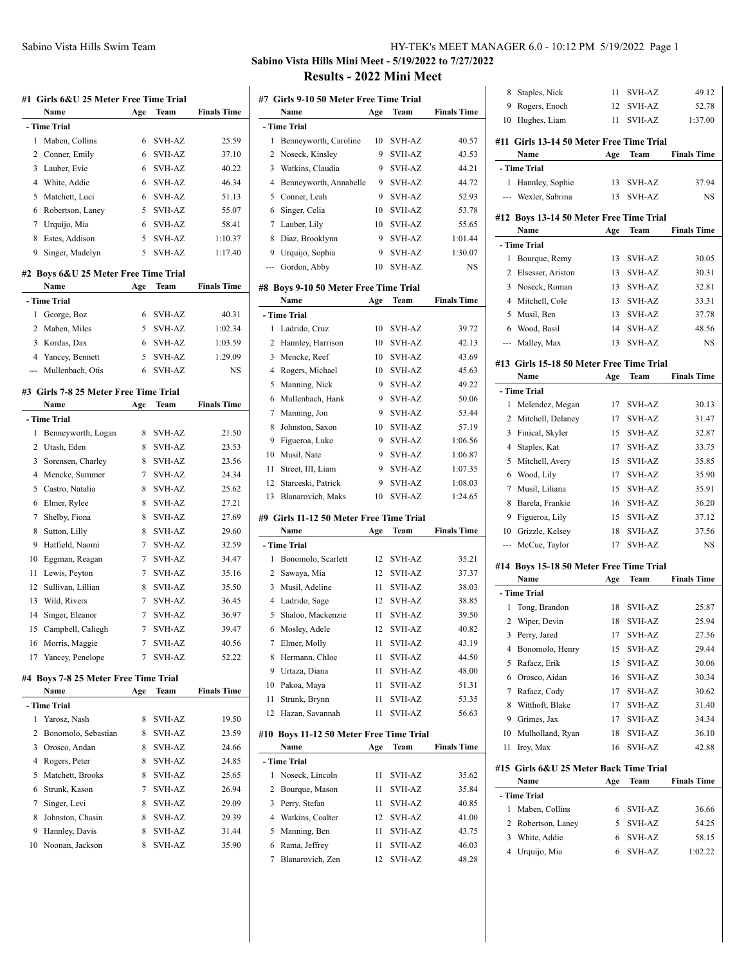# **Sabino Vista Hills Mini Meet - 5/19/2022 to 7/27/2022 Results - 2022 Mini Meet**

|    | #1 Girls 6&U 25 Meter Free Time Trial |     |               |                    |
|----|---------------------------------------|-----|---------------|--------------------|
|    | Name                                  | Age | Team          | <b>Finals Time</b> |
|    | - Time Trial                          |     |               |                    |
| 1  | Maben, Collins                        | 6   | SVH-AZ        | 25.59              |
| 2  | Conner, Emily                         | 6   | <b>SVH-AZ</b> | 37.10              |
| 3  | Lauber, Evie                          | 6   | <b>SVH-AZ</b> | 40.22              |
| 4  | White, Addie                          | 6   | SVH-AZ        | 46.34              |
| 5  | Matchett, Luci                        | 6   | <b>SVH-AZ</b> | 51.13              |
| 6  | Robertson, Laney                      | 5   | <b>SVH-AZ</b> | 55.07              |
| 7  | Urquijo, Mia                          | 6   | <b>SVH-AZ</b> | 58.41              |
| 8  | Estes, Addison                        | 5   | <b>SVH-AZ</b> | 1:10.37            |
| 9  | Singer, Madelyn                       | 5   | SVH-AZ        | 1:17.40            |
|    | #2 Boys 6&U 25 Meter Free Time Trial  |     |               |                    |
|    | Name                                  | Age | Team          | <b>Finals Time</b> |
|    | - Time Trial                          |     |               |                    |
| 1  | George, Boz                           | 6   | <b>SVH-AZ</b> | 40.31              |
| 2  | Maben, Miles                          | 5   | <b>SVH-AZ</b> | 1:02.34            |
| 3  | Kordas, Dax                           | 6   | <b>SVH-AZ</b> | 1:03.59            |
| 4  | Yancey, Bennett                       | 5   | <b>SVH-AZ</b> | 1:29.09            |
|    | Mullenbach, Otis                      | 6   | <b>SVH-AZ</b> | NS                 |
|    |                                       |     |               |                    |
|    | #3 Girls 7-8 25 Meter Free Time Trial |     |               |                    |
|    | Name                                  | Age | Team          | <b>Finals Time</b> |
|    | - Time Trial                          |     |               |                    |
| 1  | Benneyworth, Logan                    | 8   | SVH-AZ        | 21.50              |
| 2  | Utash, Eden                           | 8   | SVH-AZ        | 23.53              |
| 3  | Sorensen, Charley                     | 8   | SVH-AZ        | 23.56              |
| 4  | Mencke, Summer                        | 7   | <b>SVH-AZ</b> | 24.34              |
| 5  | Castro, Natalia                       | 8   | <b>SVH-AZ</b> | 25.62              |
| 6  | Elmer, Rylee                          | 8   | <b>SVH-AZ</b> | 27.21              |
| 7  | Shelby, Fiona                         | 8   | <b>SVH-AZ</b> | 27.69              |
| 8  | Sutton, Lilly                         | 8   | <b>SVH-AZ</b> | 29.60              |
| 9  | Hatfield, Naomi                       | 7   | SVH-AZ        | 32.59              |
| 10 | Eggman, Reagan                        | 7   | <b>SVH-AZ</b> | 34.47              |
| 11 | Lewis, Peyton                         | 7   | <b>SVH-AZ</b> | 35.16              |
| 12 | Sullivan, Lillian                     | 8   | SVH-AZ        | 35.50              |
| 13 | Wild, Rivers                          | 7   | SVH-AZ        | 36.45              |
| 14 | Singer, Eleanor                       | 7   | <b>SVH-AZ</b> | 36.97              |
| 15 | Campbell, Caliegh                     | 7   | <b>SVH-AZ</b> | 39.47              |
| 16 | Morris, Maggie                        | 7   | SVH-AZ        | 40.56              |
| 17 | Yancey, Penelope                      | 7   | <b>SVH-AZ</b> | 52.22              |
|    |                                       |     |               |                    |
|    | #4 Boys 7-8 25 Meter Free Time Trial  |     |               |                    |
|    | Name                                  | Age | Team          | <b>Finals Time</b> |
|    | - Time Trial                          |     |               |                    |
| 1  | Yarosz, Nash                          | 8   | <b>SVH-AZ</b> | 19.50              |
| 2  | Bonomolo, Sebastian                   | 8   | SVH-AZ        | 23.59              |
| 3  | Orosco, Andan                         | 8   | SVH-AZ        | 24.66              |
| 4  | Rogers, Peter                         | 8   | <b>SVH-AZ</b> | 24.85              |
| 5  | Matchett, Brooks                      | 8   | SVH-AZ        | 25.65              |
| 6  | Strunk, Kason                         | 7   | SVH-AZ        | 26.94              |
| 7  | Singer, Levi                          | 8   | <b>SVH-AZ</b> | 29.09              |
| 8  | Johnston, Chasin                      | 8   | SVH-AZ        | 29.39              |
| 9  | Hannley, Davis                        | 8   | SVH-AZ        | 31.44              |
| 10 | Noonan, Jackson                       | 8   | SVH-AZ        | 35.90              |

|                | #7 Girls 9-10 50 Meter Free Time Trial        |     |               |                    |
|----------------|-----------------------------------------------|-----|---------------|--------------------|
|                | Name                                          | Age | Team          | <b>Finals Time</b> |
|                | - Time Trial                                  |     |               |                    |
| 1              | Benneyworth, Caroline                         | 10  | SVH-AZ        | 40.57              |
| 2              | Noseck, Kinsley                               | 9   | <b>SVH-AZ</b> | 43.53              |
| 3              | Watkins, Claudia                              | 9   | SVH-AZ        | 44.21              |
| $\overline{4}$ | Benneyworth, Annabelle                        | 9   | SVH-AZ        | 44.72              |
| 5              | Conner, Leah                                  | 9   | <b>SVH-AZ</b> | 52.93              |
| 6              | Singer, Celia                                 | 10  | SVH-AZ        | 53.78              |
| 7              | Lauber, Lily                                  | 10  | <b>SVH-AZ</b> | 55.65              |
| 8              | Diaz, Brooklynn                               | 9   | <b>SVH-AZ</b> | 1:01.44            |
| 9              | Urquijo, Sophia                               | 9   | SVH-AZ        | 1:30.07            |
| ---            | Gordon, Abby                                  | 10  | SVH-AZ        | NS                 |
|                |                                               |     |               |                    |
|                | #8 Boys 9-10 50 Meter Free Time Trial<br>Name |     | Team          | <b>Finals Time</b> |
|                | - Time Trial                                  | Age |               |                    |
| 1              | Ladrido, Cruz                                 | 10  | <b>SVH-AZ</b> | 39.72              |
| 2              | Hannley, Harrison                             | 10  | <b>SVH-AZ</b> | 42.13              |
| 3              | Mencke, Reef                                  | 10  | SVH-AZ        | 43.69              |
| 4              |                                               | 10  | SVH-AZ        | 45.63              |
| 5              | Rogers, Michael<br>Manning, Nick              | 9   | <b>SVH-AZ</b> | 49.22              |
| 6              | Mullenbach, Hank                              | 9   | SVH-AZ        | 50.06              |
| 7              | Manning, Jon                                  | 9   | <b>SVH-AZ</b> | 53.44              |
| 8              | Johnston, Saxon                               | 10  | SVH-AZ        | 57.19              |
| 9              |                                               | 9   | <b>SVH-AZ</b> | 1:06.56            |
| 10             | Figueroa, Luke<br>Musil, Nate                 | 9   | <b>SVH-AZ</b> | 1:06.87            |
| 11             | Street, III, Liam                             | 9   | <b>SVH-AZ</b> | 1:07.35            |
| 12             | Starceski, Patrick                            | 9   | <b>SVH-AZ</b> | 1:08.03            |
| 13             | Blanarovich, Maks                             | 10  | <b>SVH-AZ</b> | 1:24.65            |
|                |                                               |     |               |                    |
|                | #9 Girls 11-12 50 Meter Free Time Trial       |     |               |                    |
|                | Name                                          | Age | Team          | <b>Finals Time</b> |
|                | - Time Trial                                  |     |               |                    |
| 1              | Bonomolo, Scarlett                            | 12  | <b>SVH-AZ</b> | 35.21              |
| 2              | Sawaya, Mia                                   | 12  | SVH-AZ        | 37.37              |
| 3              | Musil, Adeline                                | 11  | <b>SVH-AZ</b> | 38.03              |
| 4              | Ladrido, Sage                                 | 12  | SVH-AZ        | 38.85              |
| 5              | Shaloo, Mackenzie                             | 11  | <b>SVH-AZ</b> | 39.50              |
|                | 6 Mosley, Adele                               | 12  | SVH-AZ        | 40.82              |
| 7              | Elmer, Molly                                  | 11  | <b>SVH-AZ</b> | 43.19              |
| 8              | Hermann, Chloe                                | 11  | SVH-AZ        | 44.50              |
| 9              | Urtaza, Diana                                 | 11  | SVH-AZ        | 48.00              |
| 10             | Pakoa, Maya                                   | 11  | SVH-AZ        | 51.31              |
| 11             | Strunk, Brynn                                 | 11  | SVH-AZ        | 53.35              |
| 12             | Hazan, Savannah                               | 11  | SVH-AZ        | 56.63              |
|                |                                               |     |               |                    |
|                | #10 Boys 11-12 50 Meter Free Time Trial       |     |               |                    |
|                | Name                                          | Age | Team          | <b>Finals Time</b> |
|                | - Time Trial                                  |     |               |                    |
| 1              | Noseck, Lincoln                               | 11  | SVH-AZ        | 35.62              |
| 2              | Bourque, Mason                                | 11  | SVH-AZ        | 35.84              |
| 3              | Perry, Stefan                                 | 11  | SVH-AZ        | 40.85              |
| 4              | Watkins, Coalter                              | 12  | SVH-AZ        | 41.00              |
| 5              | Manning, Ben                                  | 11  | SVH-AZ        | 43.75              |
| 6              | Rama, Jeffrey                                 | 11  | SVH-AZ        | 46.03              |
| 7              | Blanarovich, Zen                              | 12  | SVH-AZ        | 48.28              |

| 8              | Staples, Nick                                    | 11  | SVH-AZ        | 49.12              |
|----------------|--------------------------------------------------|-----|---------------|--------------------|
| 9              | Rogers, Enoch                                    | 12  | SVH-AZ        | 52.78              |
| 10             | Hughes, Liam                                     | 11  | <b>SVH-AZ</b> | 1:37.00            |
|                |                                                  |     |               |                    |
|                | #11 Girls 13-14 50 Meter Free Time Trial<br>Name |     |               | <b>Finals Time</b> |
|                |                                                  | Age | Team          |                    |
|                | - Time Trial                                     |     |               |                    |
| 1              | Hannley, Sophie                                  | 13  | SVH-AZ        | 37.94              |
| $\overline{a}$ | Wexler, Sabrina                                  | 13  | <b>SVH-AZ</b> | <b>NS</b>          |
|                | #12 Boys 13-14 50 Meter Free Time Trial          |     |               |                    |
|                | Name                                             | Age | Team          | <b>Finals Time</b> |
|                | - Time Trial                                     |     |               |                    |
| 1              | Bourque, Remy                                    | 13  | <b>SVH-AZ</b> | 30.05              |
| 2              | Elsesser, Ariston                                | 13  | <b>SVH-AZ</b> | 30.31              |
| 3              | Noseck, Roman                                    | 13  | <b>SVH-AZ</b> | 32.81              |
| 4              | Mitchell, Cole                                   | 13  | <b>SVH-AZ</b> | 33.31              |
| 5              | Musil, Ben                                       | 13  | SVH-AZ        | 37.78              |
| 6              | Wood, Basil                                      | 14  | <b>SVH-AZ</b> | 48.56              |
| ---            | Malley, Max                                      | 13  | <b>SVH-AZ</b> | <b>NS</b>          |
|                |                                                  |     |               |                    |
|                | #13  Girls 15-18 50 Meter Free Time Trial        |     |               |                    |
|                | Name                                             | Age | Team          | <b>Finals Time</b> |
|                | - Time Trial                                     |     |               |                    |
| 1              | Melendez, Megan                                  | 17  | <b>SVH-AZ</b> | 30.13              |
| 2              | Mitchell, Delaney                                | 17  | <b>SVH-AZ</b> | 31.47              |
| 3              | Finical, Skyler                                  | 15  | <b>SVH-AZ</b> | 32.87              |
| 4              | Staples, Kat                                     | 17  | <b>SVH-AZ</b> | 33.75              |
| 5              | Mitchell, Avery                                  | 15  | <b>SVH-AZ</b> | 35.85              |
| 6              | Wood, Lily                                       | 17  | <b>SVH-AZ</b> | 35.90              |
| 7              | Musil, Liliana                                   | 15  | <b>SVH-AZ</b> | 35.91              |
| 8              | Barela, Frankie                                  | 16  | SVH-AZ        | 36.20              |
| 9              | Figueroa, Lily                                   | 15  | <b>SVH-AZ</b> | 37.12              |
| 10             | Grizzle, Kelsey                                  | 18  | <b>SVH-AZ</b> | 37.56              |
| ---            | McCue, Taylor                                    | 17  | <b>SVH-AZ</b> | <b>NS</b>          |
|                |                                                  |     |               |                    |
|                | #14 Boys 15-18 50 Meter Free Time Trial<br>Name  |     |               | <b>Finals Time</b> |
|                |                                                  | Age | Team          |                    |
|                | - Time Trial                                     |     |               |                    |
| 1              | Tong, Brandon                                    | 18  | <b>SVH-AZ</b> | 25.87              |
| 2              | Wiper, Devin                                     | 18  | <b>SVH-AZ</b> | 25.94              |
| 3              | Perry, Jared                                     | 17  | SVH-AZ        | 27.56              |
| 4              | Bonomolo, Henry                                  | 15  | SVH-AZ        | 29.44              |
| 5              | Rafacz, Erik                                     | 15  | SVH-AZ        | 30.06              |
| 6              | Orosco, Aidan                                    | 16  | SVH-AZ        | 30.34              |
| 7              | Rafacz, Cody                                     | 17  | <b>SVH-AZ</b> | 30.62              |
| 8              | Witthoft, Blake                                  | 17  | SVH-AZ        | 31.40              |
| 9              | Grimes, Jax                                      | 17  | SVH-AZ        | 34.34              |
| 10             | Mulholland, Ryan                                 | 18  | SVH-AZ        | 36.10              |
| 11             | Irey, Max                                        | 16  | SVH-AZ        | 42.88              |
| #15            | Girls 6&U 25 Meter Back Time Trial               |     |               |                    |
|                | Name                                             | Age | Team          | <b>Finals Time</b> |
|                | - Time Trial                                     |     |               |                    |
| 1              | Maben, Collins                                   | 6   | SVH-AZ        | 36.66              |
| 2              | Robertson, Laney                                 | 5   | SVH-AZ        | 54.25              |
| 3              | White, Addie                                     | 6   | SVH-AZ        | 58.15              |
| 4              | Urquijo, Mia                                     | 6   | SVH-AZ        | 1:02.22            |
|                |                                                  |     |               |                    |
|                |                                                  |     |               |                    |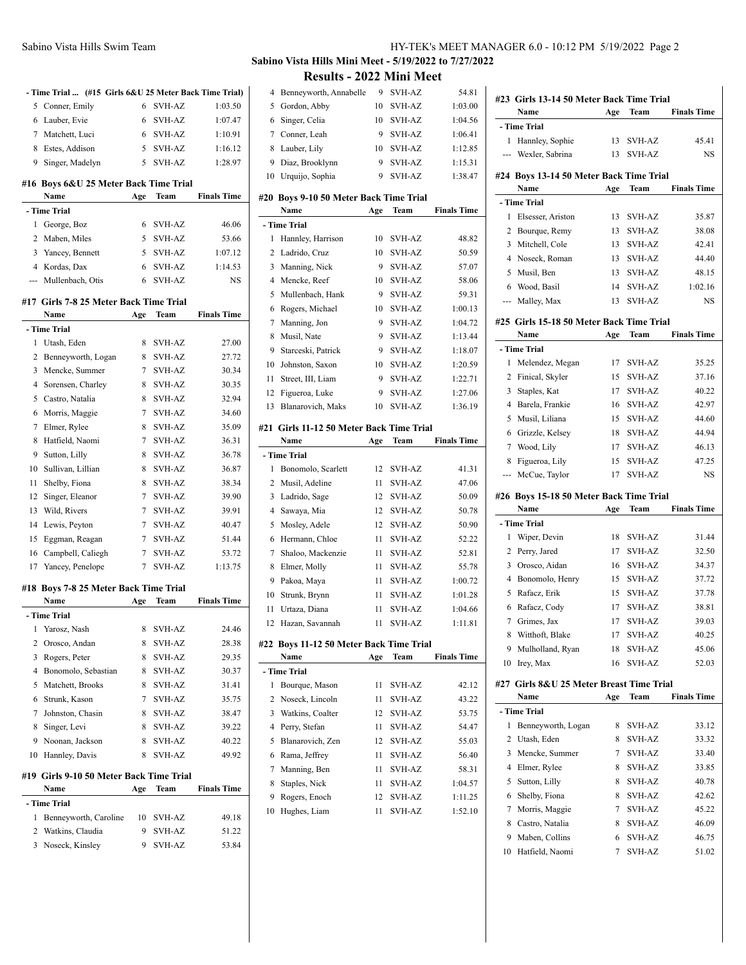| 1<br>$\overline{c}$ | Watkins, Claudia                         | 9   | SVH-AZ                         | 51.22              |
|---------------------|------------------------------------------|-----|--------------------------------|--------------------|
|                     |                                          |     |                                |                    |
|                     | Benneyworth, Caroline                    | 10  | SVH-AZ                         | 49.18              |
|                     | - Time Trial                             |     |                                |                    |
|                     | Name                                     | Age | Team                           | <b>Finals Time</b> |
|                     | #19 Girls 9-10 50 Meter Back Time Trial  |     |                                |                    |
| 10                  | Hannley, Davis                           | 8   | SVH-AZ                         | 49.92              |
| 9                   | Noonan, Jackson                          | 8   | SVH-AZ                         | 40.22              |
| 8                   | Singer, Levi                             | 8   | <b>SVH-AZ</b>                  | 39.22              |
| 7                   | Johnston, Chasin                         | 8   | SVH-AZ                         | 38.47              |
| 6                   | Strunk, Kason                            | 7   | SVH-AZ                         | 35.75              |
| 5                   | Matchett, Brooks                         | 8   | SVH-AZ                         | 31.41              |
| 4                   | Bonomolo, Sebastian                      | 8   | SVH-AZ                         | 30.37              |
| 3                   | Rogers, Peter                            | 8   | <b>SVH-AZ</b>                  | 29.35              |
| 2                   | Orosco, Andan                            | 8   | SVH-AZ                         | 28.38              |
| 1                   | Yarosz, Nash                             | 8   | <b>SVH-AZ</b>                  | 24.46              |
|                     | - Time Trial                             |     |                                |                    |
|                     | Name                                     | Age | Team                           | <b>Finals Time</b> |
| #18                 | <b>Boys 7-8 25 Meter Back Time Trial</b> |     |                                |                    |
| 17                  | Yancey, Penelope                         | 7   | <b>SVH-AZ</b>                  | 1:13.75            |
| 16                  | Campbell, Caliegh                        | 7   | <b>SVH-AZ</b>                  | 53.72              |
| 15                  | Eggman, Reagan                           | 7   | <b>SVH-AZ</b>                  | 51.44              |
| 14                  | Lewis, Peyton                            | 7   | <b>SVH-AZ</b>                  | 40.47              |
| 13                  | Wild, Rivers                             | 7   | <b>SVH-AZ</b>                  | 39.91              |
| 12                  | Singer, Eleanor                          | 7   | <b>SVH-AZ</b>                  | 39.90              |
| 11                  | Shelby, Fiona                            | 8   | <b>SVH-AZ</b>                  | 38.34              |
| 10                  | Sullivan, Lillian                        | 8   | <b>SVH-AZ</b>                  | 36.87              |
| 9                   | Sutton, Lilly                            | 8   | <b>SVH-AZ</b>                  | 36.78              |
| 8                   | Hatfield, Naomi                          | 7   | <b>SVH-AZ</b>                  | 36.31              |
| 7                   | Elmer, Rylee                             | 8   | <b>SVH-AZ</b>                  | 35.09              |
| 6                   | Morris, Maggie                           | 7   | SVH-AZ                         | 34.60              |
| 5                   | Castro, Natalia                          | 8   | <b>SVH-AZ</b>                  | 32.94              |
| 4                   | Sorensen, Charley                        | 8   | <b>SVH-AZ</b>                  | 30.35              |
| 3                   | Mencke, Summer                           | 7   | <b>SVH-AZ</b>                  | 30.34              |
|                     |                                          |     |                                |                    |
| 1<br>2              | Benneyworth, Logan                       | 8   | <b>SVH-AZ</b><br><b>SVH-AZ</b> | 27.00<br>27.72     |
|                     | - Time Trial<br>Utash, Eden              | 8   |                                |                    |
|                     | Name                                     | Age | Team                           | <b>Finals Time</b> |
|                     | #17 Girls 7-8 25 Meter Back Time Trial   |     |                                |                    |
|                     |                                          |     |                                |                    |
| ---                 | Mullenbach, Otis                         | 6   | <b>SVH-AZ</b>                  | NS                 |
|                     | 4 Kordas, Dax                            | 6   | <b>SVH-AZ</b>                  | 1:14.53            |
|                     | 3 Yancey, Bennett                        | 5   | <b>SVH-AZ</b>                  | 1:07.12            |
| 2                   | Maben, Miles                             | 5   | <b>SVH-AZ</b>                  | 53.66              |
| 1                   | George, Boz                              | 6   | <b>SVH-AZ</b>                  | 46.06              |
|                     | - Time Trial                             |     |                                |                    |
|                     | Name                                     | Age | Team                           | <b>Finals Time</b> |
| #16                 | Boys 6&U 25 Meter Back Time Trial        |     |                                |                    |
| 9                   | Singer, Madelyn                          | 5   | SVH-AZ                         | 1:28.97            |
| 8                   | Estes, Addison                           | 5   | SVH-AZ                         | 1:16.12            |
| 7                   | Matchett, Luci                           | 6   | SVH-AZ                         | 1:10.91            |
| 6                   | Lauber, Evie                             | 6   | SVH-AZ                         | 1:07.47            |
|                     |                                          |     |                                |                    |

# **Sabino Vista Hills Mini Meet - 5/19/2022 to 7/27/2022 Results - 2022 Mini Meet**

 $\overline{\phantom{0}}$ 

| 4              | Benneyworth, Annabelle                                 | 9       | <b>SVH-AZ</b>                  | 54.81              |
|----------------|--------------------------------------------------------|---------|--------------------------------|--------------------|
| 5              | Gordon, Abby                                           | 10      | SVH-AZ                         | 1:03.00            |
| 6              | Singer, Celia                                          | 10      | <b>SVH-AZ</b>                  | 1:04.56            |
| 7              | Conner, Leah                                           | 9       | <b>SVH-AZ</b>                  | 1:06.41            |
| 8              | Lauber, Lily                                           | 10      | SVH-AZ                         | 1:12.85            |
| 9              | Diaz, Brooklynn                                        | 9       | <b>SVH-AZ</b>                  | 1:15.31            |
| 10             | Urquijo, Sophia                                        | 9       | <b>SVH-AZ</b>                  | 1:38.47            |
|                |                                                        |         |                                |                    |
| #20            | <b>Boys 9-10 50 Meter Back Time Trial</b><br>Name      | Age     | Team                           | <b>Finals Time</b> |
|                | - Time Trial                                           |         |                                |                    |
| 1              | Hannley, Harrison                                      | 10      | <b>SVH-AZ</b>                  | 48.82              |
| 2              | Ladrido, Cruz                                          | 10      | SVH-AZ                         | 50.59              |
| 3              | Manning, Nick                                          | 9       | SVH-AZ                         | 57.07              |
| $\overline{4}$ | Mencke, Reef                                           | 10      | <b>SVH-AZ</b>                  | 58.06              |
| 5              | Mullenbach, Hank                                       | 9       | <b>SVH-AZ</b>                  | 59.31              |
| 6              | Rogers, Michael                                        | 10      | <b>SVH-AZ</b>                  | 1:00.13            |
| 7              | Manning, Jon                                           | 9       | <b>SVH-AZ</b>                  | 1:04.72            |
| 8              | Musil, Nate                                            | 9       | <b>SVH-AZ</b>                  | 1:13.44            |
| 9              | Starceski, Patrick                                     | 9       | <b>SVH-AZ</b>                  |                    |
|                | Johnston, Saxon                                        |         | <b>SVH-AZ</b>                  | 1:18.07<br>1:20.59 |
| 10<br>11       |                                                        | 10<br>9 | <b>SVH-AZ</b>                  |                    |
|                | Street, III, Liam                                      | 9       |                                | 1:22.71            |
| 12             | Figueroa, Luke                                         |         | <b>SVH-AZ</b>                  | 1:27.06            |
| 13             | Blanarovich, Maks                                      | 10      | <b>SVH-AZ</b>                  | 1:36.19            |
| #21            | Girls 11-12 50 Meter Back Time Trial                   |         |                                |                    |
|                | Name                                                   | Age     | Team                           | <b>Finals Time</b> |
|                |                                                        |         |                                |                    |
|                | - Time Trial                                           |         |                                |                    |
| 1              | Bonomolo, Scarlett                                     | 12      | SVH-AZ                         | 41.31              |
| 2              | Musil, Adeline                                         | 11      | <b>SVH-AZ</b>                  | 47.06              |
| 3              | Ladrido, Sage                                          | 12      | <b>SVH-AZ</b>                  | 50.09              |
| $\overline{4}$ | Sawaya, Mia                                            | 12      | <b>SVH-AZ</b>                  | 50.78              |
| 5              | Mosley, Adele                                          | 12      | SVH-AZ                         | 50.90              |
| 6              | Hermann, Chloe                                         | 11      | SVH-AZ                         | 52.22              |
| 7              | Shaloo, Mackenzie                                      | 11      | <b>SVH-AZ</b>                  | 52.81              |
| 8              | Elmer, Molly                                           | 11      | SVH-AZ                         | 55.78              |
| 9              | Pakoa, Maya                                            | 11      | <b>SVH-AZ</b>                  | 1:00.72            |
| 10             | Strunk, Brynn                                          | 11      | <b>SVH-AZ</b>                  | 1:01.28            |
| 11             | Urtaza, Diana                                          | 11      | <b>SVH-AZ</b>                  | 1:04.66            |
| 12             | Hazan, Savannah                                        | 11      | <b>SVH-AZ</b>                  | 1:11.81            |
|                |                                                        |         |                                |                    |
|                | #22 Boys 11-12 50 Meter Back Time Trial<br><b>Name</b> |         | Team                           | <b>Finals Time</b> |
|                | - Time Trial                                           | Age     |                                |                    |
| 1              | Bourque, Mason                                         | 11      | SVH-AZ                         | 42.12              |
| $\overline{c}$ |                                                        | 11      | SVH-AZ                         |                    |
| 3              | Noseck, Lincoln<br>Watkins, Coalter                    | 12      | SVH-AZ                         | 43.22<br>53.75     |
| $\overline{4}$ | Perry, Stefan                                          | 11      | <b>SVH-AZ</b>                  | 54.47              |
| 5              | Blanarovich, Zen                                       | 12      | <b>SVH-AZ</b>                  | 55.03              |
| 6              | Rama, Jeffrey                                          | 11      | <b>SVH-AZ</b>                  | 56.40              |
| 7              | Manning, Ben                                           | 11      | <b>SVH-AZ</b>                  | 58.31              |
|                |                                                        | 11      | SVH-AZ                         |                    |
| 8              | Staples, Nick                                          | 12      |                                | 1:04.57            |
| 9<br>10        | Rogers, Enoch<br>Hughes, Liam                          | 11      | <b>SVH-AZ</b><br><b>SVH-AZ</b> | 1:11.25<br>1:52.10 |

|         | #23 Girls 13-14 50 Meter Back Time Trial<br>Name | Age    | Team                           | <b>Finals Time</b> |  |  |  |
|---------|--------------------------------------------------|--------|--------------------------------|--------------------|--|--|--|
|         |                                                  |        |                                |                    |  |  |  |
|         | - Time Trial                                     |        |                                |                    |  |  |  |
| 1       | Hannley, Sophie                                  | 13     | SVH-AZ                         | 45.41              |  |  |  |
| ---     | Wexler, Sabrina                                  | 13     | SVH-AZ                         | NS                 |  |  |  |
|         | #24 Boys 13-14 50 Meter Back Time Trial          |        |                                |                    |  |  |  |
|         | Name                                             | Age    | Team                           | <b>Finals Time</b> |  |  |  |
|         | - Time Trial                                     |        |                                |                    |  |  |  |
| 1       | Elsesser, Ariston                                | 13     | <b>SVH-AZ</b>                  | 35.87              |  |  |  |
| 2       | Bourque, Remy                                    | 13     | SVH-AZ                         | 38.08              |  |  |  |
| 3       | Mitchell, Cole                                   | 13     | <b>SVH-AZ</b>                  | 42.41              |  |  |  |
| 4       | Noseck, Roman                                    | 13     | <b>SVH-AZ</b>                  | 44.40              |  |  |  |
| 5       | Musil, Ben                                       | 13     | <b>SVH-AZ</b>                  | 48.15              |  |  |  |
| 6       | Wood, Basil                                      | 14     | <b>SVH-AZ</b>                  | 1:02.16            |  |  |  |
| ---     | Malley, Max                                      | 13     | <b>SVH-AZ</b>                  | NS                 |  |  |  |
|         |                                                  |        |                                |                    |  |  |  |
|         | #25 Girls 15-18 50 Meter Back Time Trial         |        |                                |                    |  |  |  |
|         | Name                                             | Age    | Team                           | <b>Finals Time</b> |  |  |  |
|         | - Time Trial                                     |        |                                |                    |  |  |  |
| 1       | Melendez, Megan                                  | 17     | <b>SVH-AZ</b>                  | 35.25              |  |  |  |
| 2       | Finical, Skyler                                  | 15     | SVH-AZ                         | 37.16              |  |  |  |
| 3       | Staples, Kat                                     | 17     | <b>SVH-AZ</b>                  | 40.22              |  |  |  |
| 4       | Barela, Frankie                                  | 16     | <b>SVH-AZ</b>                  | 42.97              |  |  |  |
| 5       | Musil, Liliana                                   | 15     | <b>SVH-AZ</b>                  | 44.60              |  |  |  |
|         | 6 Grizzle, Kelsey                                | 18     | <b>SVH-AZ</b>                  | 44.94              |  |  |  |
| 7       | Wood, Lily                                       | 17     | <b>SVH-AZ</b>                  | 46.13              |  |  |  |
| 8       | Figueroa, Lily                                   | 15     | <b>SVH-AZ</b>                  | 47.25              |  |  |  |
| ---     | McCue, Taylor                                    | 17     | SVH-AZ                         | NS                 |  |  |  |
|         |                                                  |        |                                |                    |  |  |  |
|         |                                                  |        |                                |                    |  |  |  |
|         | #26 Boys 15-18 50 Meter Back Time Trial          |        |                                |                    |  |  |  |
|         | Name                                             | Age    | Team                           | <b>Finals Time</b> |  |  |  |
|         | - Time Trial                                     |        |                                |                    |  |  |  |
| 1       | Wiper, Devin                                     | 18     | SVH-AZ                         | 31.44              |  |  |  |
| 2       | Perry, Jared                                     | 17     | <b>SVH-AZ</b>                  | 32.50              |  |  |  |
| 3       | Orosco, Aidan                                    | 16     | <b>SVH-AZ</b>                  | 34.37              |  |  |  |
| 4       | Bonomolo, Henry                                  | 15     | <b>SVH-AZ</b>                  | 37.72              |  |  |  |
| 5       | Rafacz, Erik                                     | 15     | <b>SVH-AZ</b>                  | 37.78              |  |  |  |
| 6       | Rafacz, Cody                                     | 17     | SVH-AZ                         | 38.81              |  |  |  |
| 7       | Grimes, Jax                                      | 17     | <b>SVH-AZ</b>                  | 39.03              |  |  |  |
| 8       | Witthoft, Blake                                  | 17     | SVH-AZ                         | 40.25              |  |  |  |
| 9       | Mulholland, Ryan                                 | 18     | SVH-AZ                         | 45.06              |  |  |  |
| 10      | Irev, Max                                        | 16     | <b>SVH-AZ</b>                  | 52.03              |  |  |  |
|         |                                                  |        |                                |                    |  |  |  |
|         | #27 Girls 8&U 25 Meter Breast Time Trial         |        |                                |                    |  |  |  |
|         | Name                                             | Age    | Team                           | <b>Finals Time</b> |  |  |  |
|         | - Time Trial                                     |        |                                |                    |  |  |  |
| 1       | Benneyworth, Logan                               | 8      | SVH-AZ                         | 33.12              |  |  |  |
| 2       | Utash, Eden                                      | 8      | SVH-AZ                         | 33.32              |  |  |  |
| 3       | Mencke, Summer                                   | 7      | SVH-AZ                         | 33.40              |  |  |  |
| 4       | Elmer, Rylee                                     | 8      | SVH-AZ                         | 33.85              |  |  |  |
| 5       | Sutton, Lilly                                    | 8      | <b>SVH-AZ</b>                  | 40.78              |  |  |  |
| 6       | Shelby, Fiona                                    | 8      | <b>SVH-AZ</b>                  | 42.62              |  |  |  |
| 7       | Morris, Maggie                                   | 7      | <b>SVH-AZ</b>                  | 45.22              |  |  |  |
| 8       | Castro, Natalia                                  | 8      | <b>SVH-AZ</b>                  | 46.09              |  |  |  |
| 9<br>10 | Maben, Collins<br>Hatfield, Naomi                | 6<br>7 | <b>SVH-AZ</b><br><b>SVH-AZ</b> | 46.75<br>51.02     |  |  |  |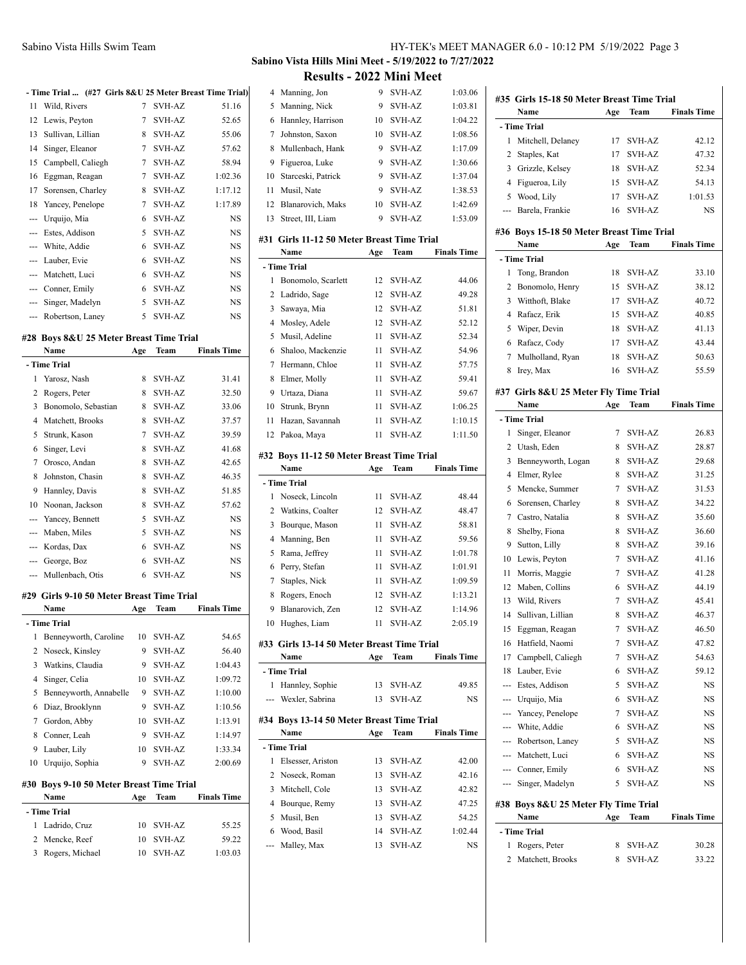| HY-TEK's MEET MANAGER 6.0 - 10:12 PM 5/19/2022 Page 3 |  |  |  |
|-------------------------------------------------------|--|--|--|
|-------------------------------------------------------|--|--|--|

# **Sabino Vista Hills Mini Meet - 5/19/2022 to 7/27/2022**

| 17       | Sorensen, Charley                               | 8        | SVH-AZ           | 1:17.12            |
|----------|-------------------------------------------------|----------|------------------|--------------------|
| 18       | Yancey, Penelope                                | 7        | SVH-AZ           | 1:17.89            |
| ---      | Urquijo, Mia                                    | 6        | SVH-AZ           | NS                 |
|          | --- Estes, Addison                              | 5        | SVH-AZ           | NS                 |
|          | --- White, Addie                                | 6        | SVH-AZ           | NS                 |
|          | --- Lauber, Evie                                | 6        | <b>SVH-AZ</b>    | NS                 |
|          | --- Matchett, Luci                              | 6        | SVH-AZ           | NS                 |
|          | --- Conner, Emily                               | 6        | SVH-AZ           | NS                 |
|          | --- Singer, Madelyn                             | 5        | <b>SVH-AZ</b>    | NS                 |
| $\cdots$ | Robertson, Laney                                | 5        | SVH-AZ           | NS                 |
|          |                                                 |          |                  |                    |
|          | #28 Boys 8&U 25 Meter Breast Time Trial<br>Name | Age      | Team             | <b>Finals Time</b> |
|          | - Time Trial                                    |          |                  |                    |
| 1        | Yarosz, Nash                                    | 8        | SVH-AZ           | 31.41              |
| 2        | Rogers, Peter                                   | 8        | <b>SVH-AZ</b>    | 32.50              |
| 3        | Bonomolo, Sebastian                             | 8        | SVH-AZ           | 33.06              |
| 4        | Matchett, Brooks                                | 8        | SVH-AZ           | 37.57              |
| 5        | Strunk, Kason                                   | 7        | SVH-AZ           | 39.59              |
| 6        | Singer, Levi                                    | 8        | <b>SVH-AZ</b>    | 41.68              |
| 7        | Orosco, Andan                                   | 8        | SVH-AZ           | 42.65              |
| 8        | Johnston, Chasin                                | 8        | SVH-AZ           | 46.35              |
| 9        | Hannley, Davis                                  | 8        | SVH-AZ           | 51.85              |
| 10       | Noonan, Jackson                                 | 8        | SVH-AZ           | 57.62              |
| ---      | Yancey, Bennett                                 | 5        | SVH-AZ           | NS                 |
|          | --- Maben, Miles                                | 5        | SVH-AZ           | NS                 |
|          | --- Kordas, Dax                                 | 6        | SVH-AZ           | NS                 |
|          | --- George, Boz                                 | 6        | SVH-AZ           | NS                 |
|          | Mullenbach, Otis                                | 6        | <b>SVH-AZ</b>    | NS                 |
|          | #29 Girls 9-10 50 Meter Breast Time Trial       |          |                  |                    |
|          | Name                                            | Age      | Team             | <b>Finals Time</b> |
|          | - Time Trial                                    |          |                  |                    |
| 1        | Benneyworth, Caroline                           | 10       | SVH-AZ           | 54.65              |
| 2        | Noseck, Kinsley<br>Watkins, Claudia             | 9        | SVH-AZ           | 56.40              |
| 3        |                                                 | 9<br>10  | SVH-AZ<br>SVH-AZ | 1:04.43            |
|          | Singer, Celia<br>Benneyworth, Annabelle         | 9        | SVH-AZ           | 1:09.72<br>1:10.00 |
| 4        |                                                 | 9        | SVH-AZ           | 1:10.56            |
| 5        |                                                 |          |                  | 1:13.91            |
| 6        | Diaz, Brooklynn                                 |          |                  |                    |
| 7        | Gordon, Abby                                    | 10<br>9  | SVH-AZ           |                    |
| 8<br>9   | Conner, Leah                                    | 10       | SVH-AZ<br>SVH-AZ | 1:14.97            |
| 10       | Lauber, Lily                                    | 9        | SVH-AZ           | 1:33.34<br>2:00.69 |
|          | Urquijo, Sophia                                 |          |                  |                    |
|          | #30 Boys 9-10 50 Meter Breast Time Trial        |          |                  |                    |
|          | Name                                            | Age      | Team             | <b>Finals Time</b> |
|          | - Time Trial                                    |          |                  |                    |
| 1<br>2   | Ladrido, Cruz<br>Mencke, Reef                   | 10<br>10 | SVH-AZ<br>SVH-AZ | 55.25<br>59.22     |

|                  |                                           |          | <b>Results - 2022 Mini Meet</b> |                    |
|------------------|-------------------------------------------|----------|---------------------------------|--------------------|
| 4                | Manning, Jon                              | 9        | SVH-AZ                          | 1:03.06            |
| 5                | Manning, Nick                             | 9        | <b>SVH-AZ</b>                   | 1:03.81            |
| 6                | Hannley, Harrison                         | 10       | <b>SVH-AZ</b>                   | 1:04.22            |
| 7                | Johnston, Saxon                           | 10       | <b>SVH-AZ</b>                   | 1:08.56            |
| 8                | Mullenbach, Hank                          | 9        | <b>SVH-AZ</b>                   | 1:17.09            |
| 9                | Figueroa, Luke                            | 9        | <b>SVH-AZ</b>                   | 1:30.66            |
| 10               | Starceski, Patrick                        | 9        | <b>SVH-AZ</b>                   | 1:37.04            |
| 11               | Musil, Nate                               | 9        | <b>SVH-AZ</b>                   | 1:38.53            |
| 12               | Blanarovich, Maks                         | 10       | SVH-AZ                          | 1:42.69            |
| 13               | Street, III, Liam                         | 9        | SVH-AZ                          | 1:53.09            |
| #31              | Girls 11-12 50 Meter Breast Time Trial    |          |                                 |                    |
|                  | Name                                      | Age      | <b>Team</b>                     | <b>Finals Time</b> |
|                  | - Time Trial                              |          |                                 |                    |
| 1                | Bonomolo, Scarlett                        | 12       | SVH-AZ                          | 44.06              |
| 2                | Ladrido, Sage                             | 12       | <b>SVH-AZ</b>                   | 49.28              |
| 3                | Sawaya, Mia                               | 12       | <b>SVH-AZ</b>                   | 51.81              |
| $\overline{4}$   | Mosley, Adele                             | 12       | <b>SVH-AZ</b>                   | 52.12              |
| 5                | Musil, Adeline                            | 11       | SVH-AZ                          | 52.34              |
| 6                | Shaloo, Mackenzie                         | 11       | SVH-AZ                          | 54.96              |
| 7                | Hermann, Chloe                            | 11       | SVH-AZ                          | 57.75              |
| 8                | Elmer, Molly                              | 11       | <b>SVH-AZ</b>                   | 59.41              |
| 9                | Urtaza, Diana                             | 11       | SVH-AZ                          | 59.67              |
| 10               | Strunk, Brynn                             | 11       | SVH-AZ                          | 1:06.25            |
| 11               | Hazan, Savannah                           | 11       | SVH-AZ                          | 1:10.15            |
| 12               | Pakoa, Maya                               | 11       | SVH-AZ                          | 1:11.50            |
|                  | #32 Boys 11-12 50 Meter Breast Time Trial |          |                                 |                    |
|                  | Name                                      | Age      | Team                            | <b>Finals Time</b> |
|                  |                                           |          |                                 |                    |
|                  | - Time Trial                              |          |                                 |                    |
| 1                | Noseck, Lincoln                           | 11       | SVH-AZ                          | 48.44              |
| 2                | Watkins, Coalter                          | 12       | <b>SVH-AZ</b>                   | 48.47              |
| 3                | Bourque, Mason                            | 11       | SVH-AZ                          | 58.81              |
| $\overline{4}$   | Manning, Ben                              | 11       | SVH-AZ                          | 59.56              |
| 5                | Rama, Jeffrey                             | 11       | SVH-AZ                          | 1:01.78            |
| 6                | Perry, Stefan                             | 11       | <b>SVH-AZ</b>                   | 1:01.91            |
| $\boldsymbol{7}$ | Staples, Nick                             | 11       | SVH-AZ                          | 1:09.59            |
| 8                | Rogers, Enoch                             | 12       | SVH-AZ                          | 1:13.21            |
| 9                | Blanarovich, Zen                          | 12       | <b>SVH-AZ</b>                   | 1:14.96            |
| 10               | Hughes, Liam                              | 11       | <b>SVH-AZ</b>                   | 2:05.19            |
| #33              | Girls 13-14 50 Meter Breast Time Trial    |          |                                 |                    |
|                  | Name                                      | Age      | Team                            | <b>Finals Time</b> |
| 1                | - Time Trial                              |          |                                 |                    |
| ---              | Hannley, Sophie                           | 13<br>13 | <b>SVH-AZ</b>                   | 49.85              |
|                  | Wexler, Sabrina                           |          | <b>SVH-AZ</b>                   | NS                 |
|                  | #34 Boys 13-14 50 Meter Breast Time Trial |          |                                 |                    |
|                  | Name                                      | Age      | Team                            | <b>Finals Time</b> |
|                  | - Time Trial                              |          |                                 |                    |
| 1                | Elsesser, Ariston                         | 13       | SVH-AZ                          | 42.00              |
| 2                | Noseck, Roman                             | 13       | SVH-AZ                          | 42.16              |
| 3                | Mitchell, Cole                            | 13       | SVH-AZ                          | 42.82              |
| 4                | Bourque, Remy                             | 13       | SVH-AZ                          | 47.25              |
| 5                | Musil, Ben                                | 13       | SVH-AZ                          | 54.25              |
| 6                | Wood, Basil                               | 14       | SVH-AZ                          | 1:02.44            |
| ---              | Malley, Max                               | 13       | <b>SVH-AZ</b>                   | NS                 |

|                                           | #35 Girls 15-18 50 Meter Breast Time Trial |        |                  |                    |  |  |  |
|-------------------------------------------|--------------------------------------------|--------|------------------|--------------------|--|--|--|
|                                           | Name                                       | Age    | Team             | <b>Finals Time</b> |  |  |  |
|                                           | - Time Trial                               |        |                  |                    |  |  |  |
| 1                                         | Mitchell, Delaney                          | 17     | SVH-AZ           | 42.12              |  |  |  |
| 2                                         | Staples, Kat                               | 17     | <b>SVH-AZ</b>    | 47.32              |  |  |  |
| 3                                         | Grizzle, Kelsey                            | 18     | <b>SVH-AZ</b>    | 52.34              |  |  |  |
| 4                                         | Figueroa, Lily                             | 15     | <b>SVH-AZ</b>    | 54.13              |  |  |  |
| 5                                         | Wood, Lily                                 | 17     | SVH-AZ           | 1:01.53            |  |  |  |
| ---                                       | Barela, Frankie                            | 16     | <b>SVH-AZ</b>    | NS                 |  |  |  |
| #36 Boys 15-18 50 Meter Breast Time Trial |                                            |        |                  |                    |  |  |  |
|                                           | Name                                       | Age    | Team             | <b>Finals Time</b> |  |  |  |
|                                           | - Time Trial                               |        |                  |                    |  |  |  |
| 1                                         | Tong, Brandon                              | 18     | SVH-AZ           | 33.10              |  |  |  |
| 2                                         | Bonomolo, Henry                            | 15     | SVH-AZ           | 38.12              |  |  |  |
| 3                                         | Witthoft, Blake                            | 17     | <b>SVH-AZ</b>    | 40.72              |  |  |  |
| 4                                         | Rafacz, Erik                               | 15     | <b>SVH-AZ</b>    | 40.85              |  |  |  |
| 5                                         | Wiper, Devin                               | 18     | SVH-AZ           | 41.13              |  |  |  |
| 6                                         | Rafacz, Cody                               | 17     | SVH-AZ           | 43.44              |  |  |  |
| 7                                         | Mulholland, Ryan                           | 18     | SVH-AZ           | 50.63              |  |  |  |
| 8                                         | Irey, Max                                  | 16     | <b>SVH-AZ</b>    | 55.59              |  |  |  |
|                                           | #37 Girls 8&U 25 Meter Fly Time Trial      |        |                  |                    |  |  |  |
|                                           | Name                                       | Age    | Team             | <b>Finals Time</b> |  |  |  |
|                                           | - Time Trial                               |        |                  |                    |  |  |  |
| 1                                         | Singer, Eleanor                            | 7      | SVH-AZ           | 26.83              |  |  |  |
| 2                                         | Utash, Eden                                | 8      | SVH-AZ           | 28.87              |  |  |  |
| 3                                         | Benneyworth, Logan                         | 8      | <b>SVH-AZ</b>    | 29.68              |  |  |  |
| $\overline{4}$                            | Elmer, Rylee                               | 8      | SVH-AZ           | 31.25              |  |  |  |
| 5                                         | Mencke, Summer                             | 7      | SVH-AZ           | 31.53              |  |  |  |
| 6                                         | Sorensen, Charley                          | 8      | SVH-AZ           | 34.22              |  |  |  |
| 7                                         | Castro, Natalia                            | 8      | SVH-AZ           | 35.60              |  |  |  |
| 8                                         | Shelby, Fiona                              | 8      | SVH-AZ           | 36.60              |  |  |  |
| 9                                         | Sutton, Lilly                              | 8      | SVH-AZ           | 39.16              |  |  |  |
| 10                                        | Lewis, Peyton                              | 7      | <b>SVH-AZ</b>    | 41.16              |  |  |  |
| 11                                        | Morris, Maggie                             | 7      | SVH-AZ           | 41.28              |  |  |  |
| 12                                        | Maben, Collins                             | 6      | <b>SVH-AZ</b>    | 44.19              |  |  |  |
| 13                                        | Wild, Rivers                               | 7      | <b>SVH-AZ</b>    | 45.41              |  |  |  |
| 14                                        | Sullivan, Lillian                          | 8      | <b>SVH-AZ</b>    | 46.37              |  |  |  |
| 15                                        | Eggman, Reagan                             | $\tau$ | SVH-AZ           | 46.50              |  |  |  |
| 16                                        | Hatfield, Naomi                            | 7      | SVH-AZ           | 47.82              |  |  |  |
| 17                                        |                                            |        |                  |                    |  |  |  |
| 18                                        | Campbell, Caliegh                          | 7<br>6 | SVH-AZ           | 54.63<br>59.12     |  |  |  |
|                                           | Lauber, Evie                               | 5      | SVH-AZ           |                    |  |  |  |
| ---                                       | Estes, Addison                             |        | SVH-AZ           | NS                 |  |  |  |
| ---                                       | Urquijo, Mia                               | 6      | SVH-AZ           | NS                 |  |  |  |
|                                           | --- Yancey, Penelope                       | 7      | SVH-AZ           | NS                 |  |  |  |
|                                           | --- White, Addie                           | 6      | SVH-AZ           | NS                 |  |  |  |
|                                           | --- Robertson, Laney                       | 5      | <b>SVH-AZ</b>    | NS                 |  |  |  |
|                                           | --- Matchett, Luci                         | 6      | SVH-AZ           | NS                 |  |  |  |
|                                           | --- Conner, Emily                          | 6      | SVH-AZ           | NS                 |  |  |  |
|                                           | --- Singer, Madelyn                        | 5      | SVH-AZ           | NS                 |  |  |  |
|                                           | #38 Boys 8&U 25 Meter Fly Time Trial       |        |                  |                    |  |  |  |
|                                           | Name                                       | Age    | Team             | <b>Finals Time</b> |  |  |  |
|                                           |                                            |        |                  |                    |  |  |  |
|                                           | - Time Trial                               |        |                  |                    |  |  |  |
| 1<br>2                                    | Rogers, Peter<br>Matchett, Brooks          | 8<br>8 | SVH-AZ<br>SVH-AZ | 30.28<br>33.22     |  |  |  |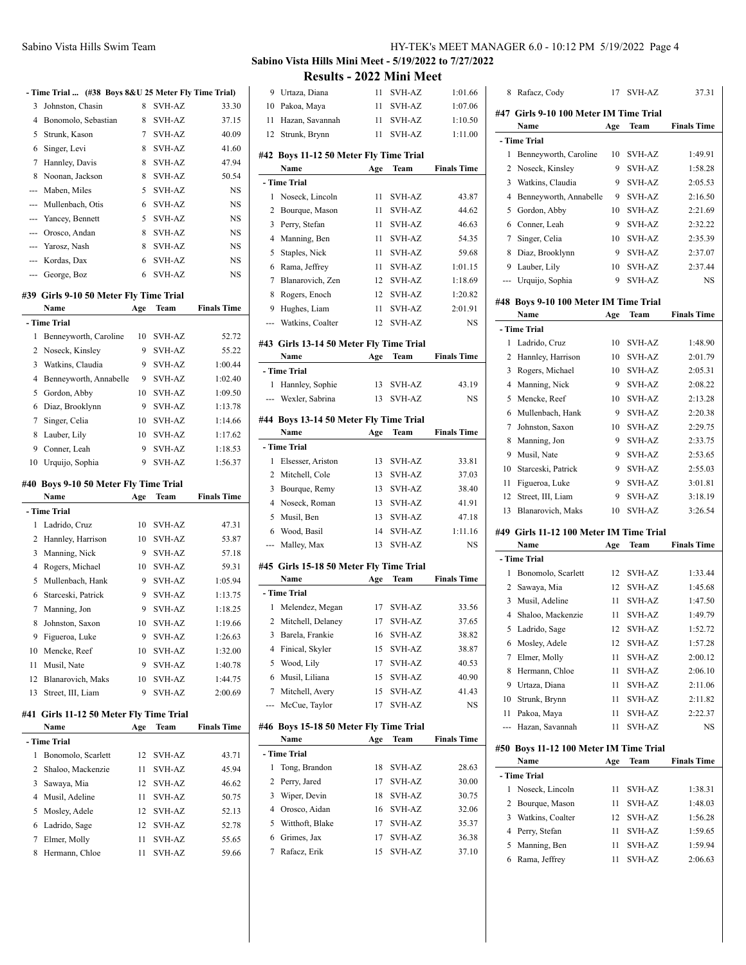|          | - Time Trial  (#38 Boys 8&U 25 Meter Fly Time Trial) |    |               |           |
|----------|------------------------------------------------------|----|---------------|-----------|
| 3        | Johnston, Chasin                                     | 8  | SVH-AZ        | 33.30     |
| 4        | Bonomolo, Sebastian                                  | 8  | <b>SVH-AZ</b> | 37.15     |
| 5        | Strunk, Kason                                        | 7  | SVH-AZ        | 40.09     |
| 6        | Singer, Levi                                         | 8  | SVH-AZ        | 41.60     |
| 7        | Hannley, Davis                                       | 8  | SVH-AZ        | 47.94     |
| 8        | Noonan, Jackson                                      | 8  | SVH-AZ        | 50.54     |
| $\cdots$ | Maben, Miles                                         | 5  | SVH-AZ        | NS        |
|          | --- Mullenbach, Otis                                 | 6  | SVH-AZ        | NS        |
|          | --- Yancey, Bennett                                  | 5. | SVH-AZ        | NS        |
|          | --- Orosco, Andan                                    | 8  | <b>SVH-AZ</b> | <b>NS</b> |
|          | --- Yarosz, Nash                                     | 8  | <b>SVH-AZ</b> | NS        |
|          | --- Kordas, Dax                                      | 6  | SVH-AZ        | NS        |
|          | --- George, Boz                                      | 6  | SVH-AZ        | NS        |

### **#39 Girls 9-10 50 Meter Fly Time Trial**

|                | Name                                  | Age | Team          | <b>Finals Time</b> |
|----------------|---------------------------------------|-----|---------------|--------------------|
|                | - Time Trial                          |     |               |                    |
| 1              | Benneyworth, Caroline                 | 10  | <b>SVH-AZ</b> | 52.72              |
| $\overline{c}$ | Noseck, Kinsley                       | 9   | <b>SVH-AZ</b> | 55.22              |
| 3              | Watkins, Claudia                      | 9   | <b>SVH-AZ</b> | 1:00.44            |
| 4              | Benneyworth, Annabelle                | 9   | SVH-AZ        | 1:02.40            |
| 5              | Gordon, Abby                          | 10  | SVH-AZ        | 1:09.50            |
| 6              | Diaz, Brooklynn                       | 9   | <b>SVH-AZ</b> | 1:13.78            |
| 7              | Singer, Celia                         | 10  | <b>SVH-AZ</b> | 1:14.66            |
| 8              | Lauber, Lily                          | 10  | SVH-AZ        | 1:17.62            |
| 9              | Conner, Leah                          | 9   | <b>SVH-AZ</b> | 1:18.53            |
| 10             | Urquijo, Sophia                       | 9   | SVH-AZ        | 1:56.37            |
|                | #40 Boys 9-10 50 Meter Fly Time Trial |     |               |                    |
|                | Name                                  | Age | Team          | <b>Finals Time</b> |
|                | - Time Trial                          |     |               |                    |
| 1              | Ladrido, Cruz                         | 10  | <b>SVH-AZ</b> | 47.31              |
| $\overline{c}$ | Hannley, Harrison                     | 10  | <b>SVH-AZ</b> | 53.87              |
| 3              | Manning, Nick                         | 9   | <b>SVH-AZ</b> | 57.18              |
| 4              | Rogers, Michael                       | 10  | <b>SVH-AZ</b> | 59.31              |
| 5              | Mullenbach, Hank                      | 9   | SVH-AZ        | 1:05.94            |
| 6              | Starceski, Patrick                    | 9   | <b>SVH-AZ</b> | 1:13.75            |
| 7              | Manning, Jon                          | 9   | SVH-AZ        | 1:18.25            |
| 8              | Johnston, Saxon                       | 10  | SVH-AZ        | 1:19.66            |
| 9              | Figueroa, Luke                        | 9   | <b>SVH-AZ</b> | 1:26.63            |
| 10             | Mencke, Reef                          | 10  | SVH-AZ        | 1:32.00            |
| 11             | Musil, Nate                           | 9   | <b>SVH-AZ</b> | 1:40.78            |

## **#41 Girls 11-12 50 Meter Fly Time Trial**

|   | Name                | Age | Team   | <b>Finals Time</b> |
|---|---------------------|-----|--------|--------------------|
|   | - Time Trial        |     |        |                    |
| 1 | Bonomolo, Scarlett  | 12. | SVH-AZ | 43.71              |
|   | 2 Shaloo, Mackenzie | 11  | SVH-AZ | 45.94              |
| 3 | Sawaya, Mia         | 12  | SVH-AZ | 46.62              |
|   | 4 Musil, Adeline    | 11  | SVH-AZ | 50.75              |
|   | 5 Mosley, Adele     | 12  | SVH-AZ | 52.13              |
|   | 6 Ladrido, Sage     | 12. | SVH-AZ | 52.78              |
|   | Elmer, Molly        | 11  | SVH-AZ | 55.65              |
| 8 | Hermann, Chloe      | 11  | SVH-AZ | 59.66              |

12 Blanarovich, Maks 10 SVH-AZ 1:44.75 13 Street, III, Liam 9 SVH-AZ 2:00.69 **Sabino Vista Hills Mini Meet - 5/19/2022 to 7/27/2022 Results - 2022 Mini Meet**

|                | Results - 2022 MIIII Meet                      |          |                                |                    |
|----------------|------------------------------------------------|----------|--------------------------------|--------------------|
| 9              | Urtaza, Diana                                  | 11       | SVH-AZ                         | 1:01.66            |
| 10             | Pakoa, Maya                                    | 11       | <b>SVH-AZ</b>                  | 1:07.06            |
| 11             | Hazan, Savannah                                | 11       | SVH-AZ                         | 1:10.50            |
| 12             | Strunk, Brynn                                  | 11       | <b>SVH-AZ</b>                  | 1:11.00            |
|                | #42 Boys 11-12 50 Meter Fly Time Trial         |          |                                |                    |
|                | Name                                           | Age      | Team                           | <b>Finals Time</b> |
|                | - Time Trial                                   |          |                                |                    |
| 1              | Noseck, Lincoln                                | 11       | <b>SVH-AZ</b>                  |                    |
|                |                                                |          |                                | 43.87<br>44.62     |
| 2              | Bourque, Mason                                 | 11       | <b>SVH-AZ</b><br><b>SVH-AZ</b> |                    |
| 3              | Perry, Stefan                                  | 11       |                                | 46.63              |
| $\overline{4}$ | Manning, Ben                                   | 11       | <b>SVH-AZ</b>                  | 54.35              |
| 5              | Staples, Nick                                  | 11       | <b>SVH-AZ</b>                  | 59.68              |
| 6              | Rama, Jeffrey                                  | 11       | <b>SVH-AZ</b>                  | 1:01.15            |
| 7              | Blanarovich, Zen                               | 12       | <b>SVH-AZ</b>                  | 1:18.69            |
| 8              | Rogers, Enoch                                  | 12       | SVH-AZ                         | 1:20.82            |
| 9              | Hughes, Liam                                   | 11       | SVH-AZ                         | 2:01.91            |
| ---            | Watkins, Coalter                               | 12       | <b>SVH-AZ</b>                  | NS                 |
|                | #43 Girls 13-14 50 Meter Fly Time Trial        |          |                                |                    |
|                | Name                                           | Age      | Team                           | <b>Finals Time</b> |
|                | - Time Trial                                   |          |                                |                    |
| 1              | Hannley, Sophie                                | 13       | SVH-AZ                         | 43.19              |
|                | --- Wexler, Sabrina                            | 13       | <b>SVH-AZ</b>                  | NS                 |
|                |                                                |          |                                |                    |
|                | #44 Boys 13-14 50 Meter Fly Time Trial         |          |                                |                    |
|                | Name                                           | Age      | Team                           | <b>Finals Time</b> |
|                | - Time Trial                                   |          |                                |                    |
| 1              | Elsesser, Ariston                              | 13       | SVH-AZ                         | 33.81              |
|                | 2 Mitchell, Cole                               | 13       | <b>SVH-AZ</b>                  | 37.03              |
|                |                                                |          |                                |                    |
| 3              | Bourque, Remy                                  | 13       | <b>SVH-AZ</b>                  | 38.40              |
|                | 4 Noseck, Roman                                | 13       | <b>SVH-AZ</b>                  | 41.91              |
| 5              | Musil, Ben                                     | 13       | SVH-AZ                         | 47.18              |
| 6              | Wood, Basil                                    | 14       | <b>SVH-AZ</b>                  | 1:11.16            |
| ---            | Malley, Max                                    | 13       | <b>SVH-AZ</b>                  | NS                 |
|                |                                                |          |                                |                    |
|                | #45 Girls 15-18 50 Meter Fly Time Trial        |          |                                |                    |
|                | Name                                           | Age      | Team                           | <b>Finals Time</b> |
|                | - Time Trial                                   |          |                                |                    |
| 1              | Melendez, Megan                                | 17       | <b>SVH-AZ</b>                  | 33.56              |
|                | 2 Mitchell, Delaney                            |          | 17 SVH-AZ                      | 37.65              |
| 3              | Barela, Frankie                                | 16       | <b>SVH-AZ</b>                  | 38.82              |
| 4              | Finical, Skyler                                | 15       | SVH-AZ                         | 38.87              |
| 5              | Wood, Lily                                     | 17       | SVH-AZ                         | 40.53              |
| 6              | Musil, Liliana                                 | 15       | <b>SVH-AZ</b>                  | 40.90              |
| 7              | Mitchell, Avery                                | 15       | <b>SVH-AZ</b>                  | 41.43              |
| ---            | McCue, Taylor                                  | 17       | SVH-AZ                         | NS                 |
|                |                                                |          |                                |                    |
|                | #46 Boys 15-18 50 Meter Fly Time Trial<br>Name | Age      | Team                           | <b>Finals Time</b> |
|                | - Time Trial                                   |          |                                |                    |
| 1              | Tong, Brandon                                  | 18       | SVH-AZ                         | 28.63              |
| 2              | Perry, Jared                                   | 17       | SVH-AZ                         |                    |
| 3              | Wiper, Devin                                   | 18       | SVH-AZ                         | 30.00<br>30.75     |
| 4              | Orosco, Aidan                                  | 16       | SVH-AZ                         |                    |
| 5              |                                                | 17       |                                | 32.06              |
|                | Witthoft, Blake                                |          | <b>SVH-AZ</b>                  | 35.37              |
| 6<br>7         | Grimes, Jax<br>Rafacz, Erik                    | 17<br>15 | <b>SVH-AZ</b><br><b>SVH-AZ</b> | 36.38<br>37.10     |

| 8   | Rafacz, Cody                                  | 17  | <b>SVH-AZ</b> | 37.31              |
|-----|-----------------------------------------------|-----|---------------|--------------------|
|     | #47 Girls 9-10 100 Meter IM Time Trial        |     |               |                    |
|     | Name                                          | Age | Team          | <b>Finals Time</b> |
|     | - Time Trial                                  |     |               |                    |
| 1   | Benneyworth, Caroline                         | 10  | <b>SVH-AZ</b> | 1:49.91            |
| 2   | Noseck, Kinsley                               | 9   | <b>SVH-AZ</b> | 1:58.28            |
| 3   | Watkins, Claudia                              | 9   | SVH-AZ        | 2:05.53            |
| 4   | Benneyworth, Annabelle                        | 9   | <b>SVH-AZ</b> | 2:16.50            |
| 5   | Gordon, Abby                                  | 10  | <b>SVH-AZ</b> | 2:21.69            |
| 6   | Conner, Leah                                  | 9   | <b>SVH-AZ</b> | 2:32.22            |
| 7   | Singer, Celia                                 | 10  | <b>SVH-AZ</b> | 2:35.39            |
| 8   | Diaz, Brooklynn                               | 9   | <b>SVH-AZ</b> | 2:37.07            |
| 9   | Lauber, Lily                                  | 10  | SVH-AZ        | 2:37.44            |
| --- | Urquijo, Sophia                               | 9   | <b>SVH-AZ</b> | NS                 |
|     |                                               |     |               |                    |
|     | #48 Boys 9-10 100 Meter IM Time Trial<br>Name |     | Team          | <b>Finals Time</b> |
|     | - Time Trial                                  | Age |               |                    |
| 1   | Ladrido, Cruz                                 | 10  | SVH-AZ        | 1:48.90            |
| 2   | Hannley, Harrison                             | 10  | SVH-AZ        | 2:01.79            |
| 3   |                                               |     | <b>SVH-AZ</b> |                    |
| 4   | Rogers, Michael                               | 10  |               | 2:05.31<br>2:08.22 |
|     | Manning, Nick                                 | 9   | <b>SVH-AZ</b> |                    |
| 5   | Mencke, Reef                                  | 10  | <b>SVH-AZ</b> | 2:13.28            |
| 6   | Mullenbach, Hank                              | 9   | <b>SVH-AZ</b> | 2:20.38            |
| 7   | Johnston, Saxon                               | 10  | <b>SVH-AZ</b> | 2:29.75            |
| 8   | Manning, Jon                                  | 9   | SVH-AZ        | 2:33.75            |
| 9   | Musil, Nate                                   | 9   | <b>SVH-AZ</b> | 2:53.65            |
| 10  | Starceski, Patrick                            | 9   | <b>SVH-AZ</b> | 2:55.03            |
| 11  | Figueroa, Luke                                | 9   | <b>SVH-AZ</b> | 3:01.81            |
| 12  | Street, III, Liam                             | 9   | <b>SVH-AZ</b> | 3:18.19            |
| 13  | Blanarovich, Maks                             | 10  | SVH-AZ        | 3:26.54            |
|     | #49 Girls 11-12 100 Meter IM Time Trial       |     |               |                    |
|     | Name                                          | Age | Team          | <b>Finals Time</b> |
|     | - Time Trial                                  |     |               |                    |
| 1   | Bonomolo, Scarlett                            | 12  | SVH-AZ        | 1:33.44            |
| 2   | Sawaya, Mia                                   | 12  | SVH-AZ        | 1:45.68            |
| 3   | Musil, Adeline                                | 11  | <b>SVH-AZ</b> | 1:47.50            |
| 4   | Shaloo, Mackenzie                             | 11  | <b>SVH-AZ</b> | 1:49.79            |
| 5   | Ladrido, Sage                                 | 12  | SVH-AZ        | 1:52.72            |
| 6   | Mosley, Adele                                 | 12  | SVH-AZ        | 1:57.28            |
| 7   | Elmer, Molly                                  | 11  | <b>SVH-AZ</b> | 2:00.12            |
| 8   | Hermann, Chloe                                | 11  | SVH-AZ        | 2:06.10            |
| 9   | Urtaza, Diana                                 | 11  | SVH-AZ        | 2:11.06            |
| 10  | Strunk, Brynn                                 | 11  | SVH-AZ        | 2:11.82            |
| 11  | Pakoa, Maya                                   | 11  | <b>SVH-AZ</b> | 2:22.37            |
| --- | Hazan, Savannah                               | 11  | SVH-AZ        | NS                 |
| #50 | Boys 11-12 100 Meter IM Time Trial            |     |               |                    |
|     | Name                                          | Age | Team          | <b>Finals Time</b> |
|     | - Time Trial                                  |     |               |                    |
| 1   | Noseck, Lincoln                               | 11  | SVH-AZ        | 1:38.31            |
| 2   | Bourque, Mason                                | 11  | SVH-AZ        | 1:48.03            |
| 3   | Watkins, Coalter                              | 12  | SVH-AZ        | 1:56.28            |
| 4   | Perry, Stefan                                 | 11  | SVH-AZ        | 1:59.65            |
| 5   | Manning, Ben                                  | 11  | SVH-AZ        | 1:59.94            |
| 6   | Rama, Jeffrey                                 | 11  | <b>SVH-AZ</b> | 2:06.63            |
|     |                                               |     |               |                    |
|     |                                               |     |               |                    |